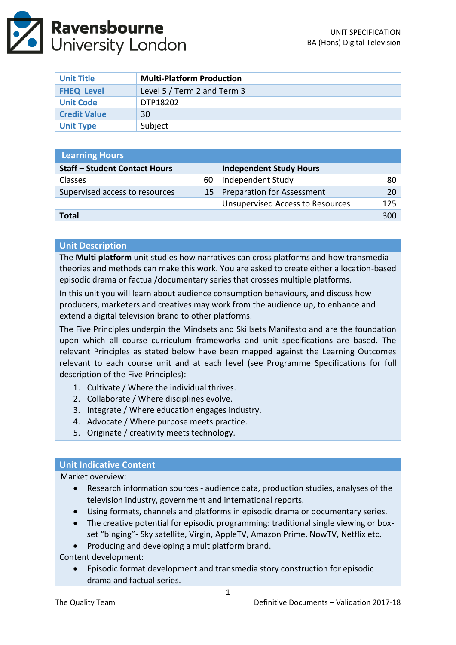

| <b>Unit Title</b>   | <b>Multi-Platform Production</b> |
|---------------------|----------------------------------|
| <b>FHEQ Level</b>   | Level 5 / Term 2 and Term 3      |
| <b>Unit Code</b>    | DTP18202                         |
| <b>Credit Value</b> | 30                               |
| <b>Unit Type</b>    | Subject                          |

| <b>Learning Hours</b>                |    |                                         |      |  |
|--------------------------------------|----|-----------------------------------------|------|--|
| <b>Staff - Student Contact Hours</b> |    | <b>Independent Study Hours</b>          |      |  |
| <b>Classes</b>                       | 60 | Independent Study                       | 80   |  |
| Supervised access to resources       | 15 | <b>Preparation for Assessment</b>       | 20 · |  |
|                                      |    | <b>Unsupervised Access to Resources</b> | 125  |  |
| <b>Total</b>                         |    |                                         |      |  |

### **Unit Description**

The **Multi platform** unit studies how narratives can cross platforms and how transmedia theories and methods can make this work. You are asked to create either a location-based episodic drama or factual/documentary series that crosses multiple platforms.

In this unit you will learn about audience consumption behaviours, and discuss how producers, marketers and creatives may work from the audience up, to enhance and extend a digital television brand to other platforms.

The Five Principles underpin the Mindsets and Skillsets Manifesto and are the foundation upon which all course curriculum frameworks and unit specifications are based. The relevant Principles as stated below have been mapped against the Learning Outcomes relevant to each course unit and at each level (see Programme Specifications for full description of the Five Principles):

- 1. Cultivate / Where the individual thrives.
- 2. Collaborate / Where disciplines evolve.
- 3. Integrate / Where education engages industry.
- 4. Advocate / Where purpose meets practice.
- 5. Originate / creativity meets technology.

## **Unit Indicative Content**

Market overview:

- Research information sources audience data, production studies, analyses of the television industry, government and international reports.
- Using formats, channels and platforms in episodic drama or documentary series.
- The creative potential for episodic programming: traditional single viewing or boxset "binging"- Sky satellite, Virgin, AppleTV, Amazon Prime, NowTV, Netflix etc.
- Producing and developing a multiplatform brand.

Content development:

 Episodic format development and transmedia story construction for episodic drama and factual series.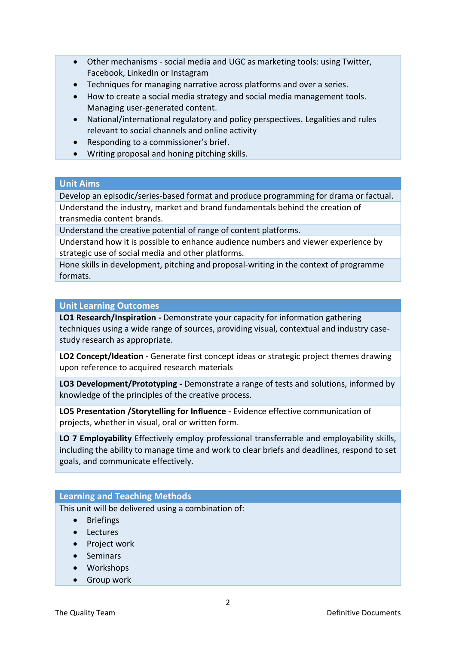- Other mechanisms social media and UGC as marketing tools: using Twitter, Facebook, LinkedIn or Instagram
- Techniques for managing narrative across platforms and over a series.
- How to create a social media strategy and social media management tools. Managing user-generated content.
- National/international regulatory and policy perspectives. Legalities and rules relevant to social channels and online activity
- Responding to a commissioner's brief.
- Writing proposal and honing pitching skills.

## **Unit Aims**

Develop an episodic/series-based format and produce programming for drama or factual. Understand the industry, market and brand fundamentals behind the creation of transmedia content brands.

Understand the creative potential of range of content platforms.

Understand how it is possible to enhance audience numbers and viewer experience by strategic use of social media and other platforms.

Hone skills in development, pitching and proposal-writing in the context of programme formats.

## **Unit Learning Outcomes**

**LO1 Research/Inspiration -** Demonstrate your capacity for information gathering techniques using a wide range of sources, providing visual, contextual and industry casestudy research as appropriate.

**LO2 Concept/Ideation -** Generate first concept ideas or strategic project themes drawing upon reference to acquired research materials

**LO3 Development/Prototyping -** Demonstrate a range of tests and solutions, informed by knowledge of the principles of the creative process.

**LO5 Presentation /Storytelling for Influence -** Evidence effective communication of projects, whether in visual, oral or written form.

**LO 7 Employability** Effectively employ professional transferrable and employability skills, including the ability to manage time and work to clear briefs and deadlines, respond to set goals, and communicate effectively.

## **Learning and Teaching Methods**

This unit will be delivered using a combination of:

- Briefings
- Lectures
- Project work
- Seminars
- Workshops
- **•** Group work